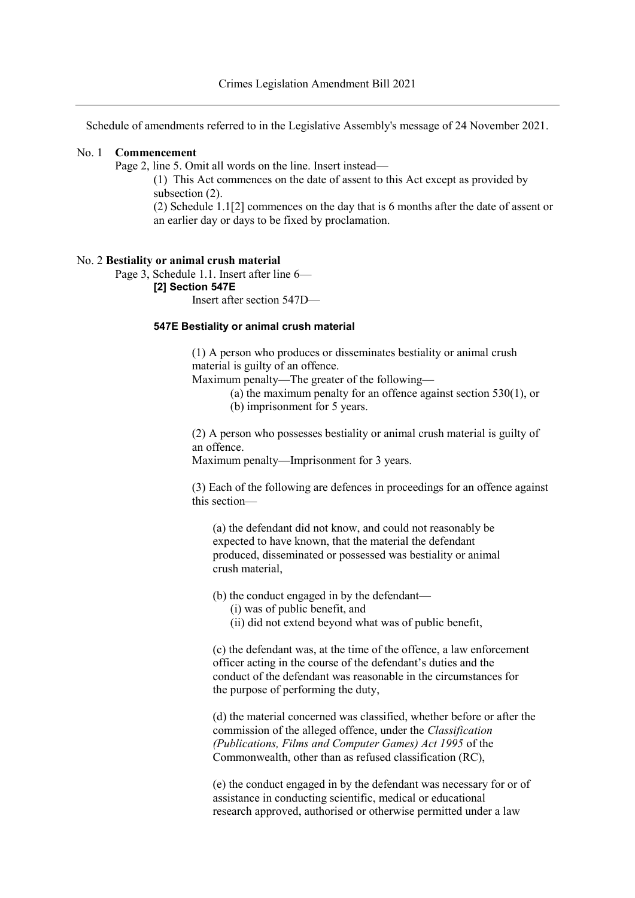Schedule of amendments referred to in the Legislative Assembly's message of 24 November 2021.

## No. 1 **Commencement**

Page 2, line 5. Omit all words on the line. Insert instead—

(1) This Act commences on the date of assent to this Act except as provided by subsection  $(2)$ .

(2) Schedule 1.1[2] commences on the day that is 6 months after the date of assent or an earlier day or days to be fixed by proclamation.

## No. 2 **Bestiality or animal crush material**

Page 3, Schedule 1.1. Insert after line 6— **[2] Section 547E**

Insert after section 547D—

## **547E Bestiality or animal crush material**

(1) A person who produces or disseminates bestiality or animal crush material is guilty of an offence.

Maximum penalty—The greater of the following—

- (a) the maximum penalty for an offence against section 530(1), or
- (b) imprisonment for 5 years.

(2) A person who possesses bestiality or animal crush material is guilty of an offence.

Maximum penalty—Imprisonment for 3 years.

(3) Each of the following are defences in proceedings for an offence against this section—

(a) the defendant did not know, and could not reasonably be expected to have known, that the material the defendant produced, disseminated or possessed was bestiality or animal crush material,

(b) the conduct engaged in by the defendant—

- (i) was of public benefit, and
- (ii) did not extend beyond what was of public benefit,

(c) the defendant was, at the time of the offence, a law enforcement officer acting in the course of the defendant's duties and the conduct of the defendant was reasonable in the circumstances for the purpose of performing the duty,

(d) the material concerned was classified, whether before or after the commission of the alleged offence, under the *Classification (Publications, Films and Computer Games) Act 1995* of the Commonwealth, other than as refused classification (RC),

(e) the conduct engaged in by the defendant was necessary for or of assistance in conducting scientific, medical or educational research approved, authorised or otherwise permitted under a law